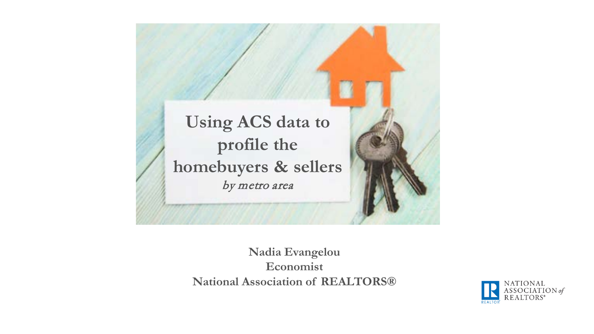**Using ACS data to profile the homebuyers & sellers**  by metro area

> **Nadia Evangelou Economist National Association of REALTORS®**

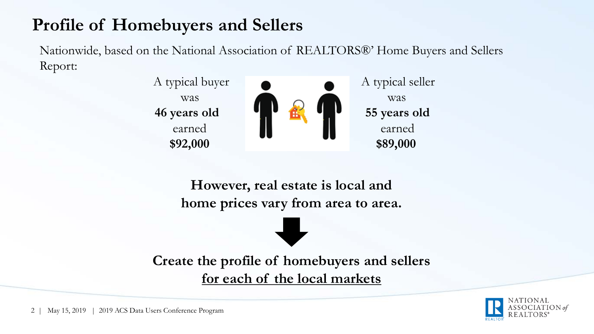## **Profile of Homebuyers and Sellers**

Nationwide, based on the National Association of REALTORS®' Home Buyers and Sellers Report:



**However, real estate is local and home prices vary from area to area.**

**Create the profile of homebuyers and sellers for each of the local markets**

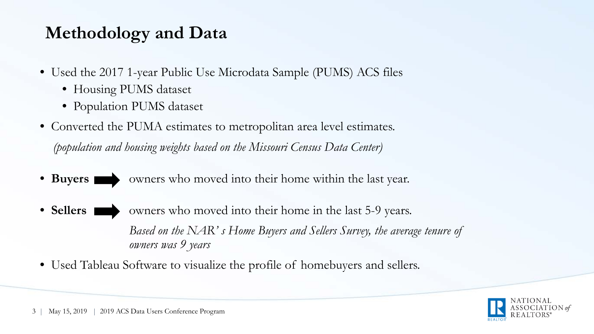## **Methodology and Data**

- Used the 2017 1-year Public Use Microdata Sample (PUMS) ACS files
	- Housing PUMS dataset
	- Population PUMS dataset
- Converted the PUMA estimates to metropolitan area level estimates. *(population and housing weights based on the Missouri Census Data Center)*
- Buyers who moved into their home within the last year.
- **Sellers** who moved into their home in the last 5-9 years. *Based on the NAR' s Home Buyers and Sellers Survey, the average tenure of owners was 9 years*
- Used Tableau Software to visualize the profile of homebuyers and sellers.

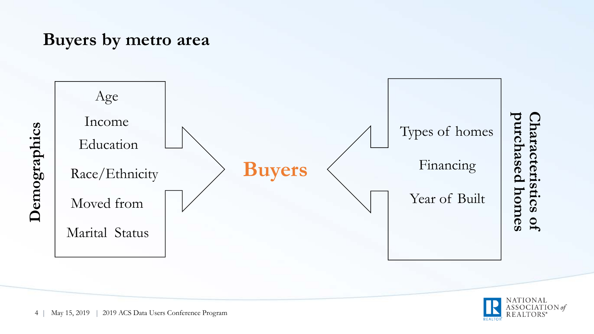#### **Buyers by metro area**



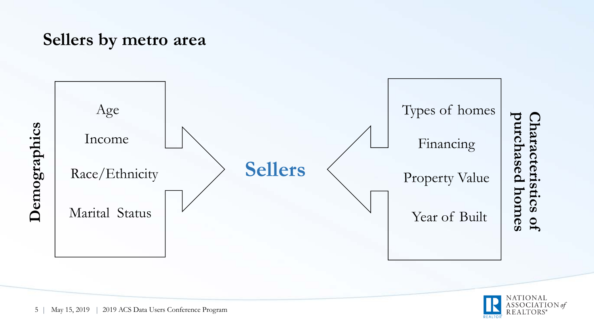#### **Sellers by metro area**



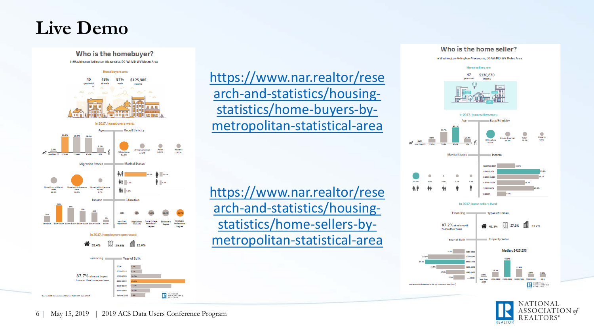## **Live Demo**



https://www.nar.realtor/rese [arch-and-statistics/housing](https://www.nar.realtor/research-and-statistics/housing-statistics/home-buyers-by-metropolitan-statistical-area)statistics/home-buyers-bymetropolitan-statistical-area

https://www.nar.realtor/rese [arch-and-statistics/housing](https://www.nar.realtor/research-and-statistics/housing-statistics/home-sellers-by-metropolitan-statistical-area)statistics/home-sellers-bymetropolitan-statistical-area



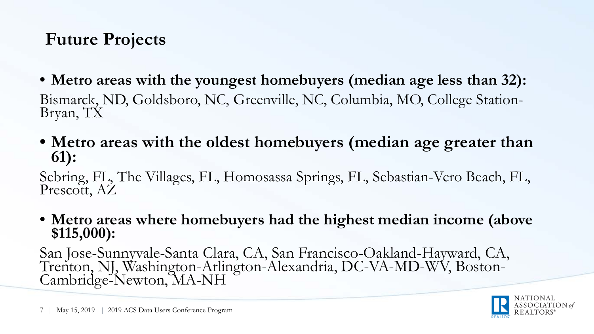## **Future Projects**

- **Metro areas with the youngest homebuyers (median age less than 32):** Bismarck, ND, Goldsboro, NC, Greenville, NC, Columbia, MO, College Station- Bryan, TX
- **Metro areas with the oldest homebuyers (median age greater than 61):**

Sebring, FL, The Villages, FL, Homosassa Springs, FL, Sebastian-Vero Beach, FL, Prescott, AZ

• **Metro areas where homebuyers had the highest median income (above \$115,000):**

San Jose-Sunnyvale-Santa Clara, CA, San Francisco-Oakland-Hayward, CA, Trenton, NJ, Washington-Arlington-Alexandria, DC-VA-MD-WV, Boston- Cambridge-Newton, MA-NH